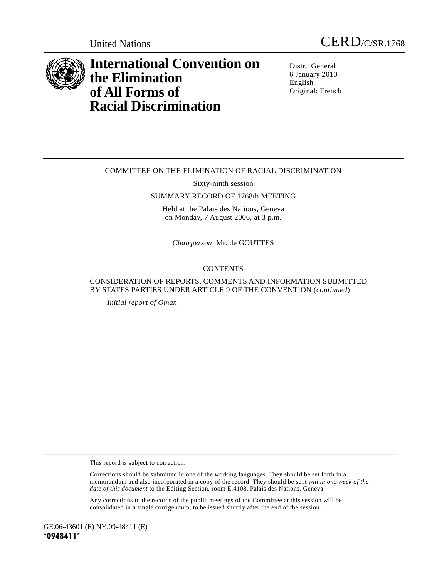



# **International Convention on the Elimination of All Forms of Racial Discrimination**

Distr.: General 6 January 2010 English Original: French

# COMMITTEE ON THE ELIMINATION OF RACIAL DISCRIMINATION

Sixty-ninth session

#### SUMMARY RECORD OF 1768th MEETING

Held at the Palais des Nations, Geneva on Monday, 7 August 2006, at 3 p.m.

*Chairperson*: Mr. de GOUTTES

### **CONTENTS**

# CONSIDERATION OF REPORTS, COMMENTS AND INFORMATION SUBMITTED BY STATES PARTIES UNDER ARTICLE 9 OF THE CONVENTION (*continued*)

*Initial report of Oman* 

This record is subject to correction.

 Corrections should be submitted in one of the working languages. They should be set forth in a memorandum and also incorporated in a copy of the record. They should be sent *within one week of the date of this document* to the Editing Section, room E.4108, Palais des Nations, Geneva.

\_\_\_\_\_\_\_\_\_\_\_\_\_\_\_\_\_\_\_\_\_\_\_\_\_\_\_\_\_\_\_\_\_\_\_\_\_\_\_\_\_\_\_\_\_\_\_\_\_\_\_\_\_\_\_\_\_\_\_\_\_\_\_\_\_\_\_\_\_\_\_\_\_\_\_\_\_\_\_\_\_\_\_\_\_\_\_\_\_\_\_\_\_\_\_\_\_\_\_\_\_\_\_\_\_\_

 Any corrections to the records of the public meetings of the Committee at this session will be consolidated in a single corrigendum, to be issued shortly after the end of the session.

GE.06-43601 (E) NY.09-48411 (E) **\*0948411\***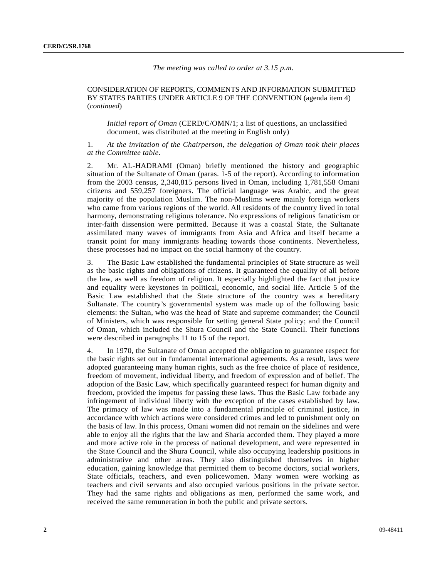#### *The meeting was called to order at 3.15 p.m.*

#### CONSIDERATION OF REPORTS, COMMENTS AND INFORMATION SUBMITTED BY STATES PARTIES UNDER ARTICLE 9 OF THE CONVENTION (agenda item 4) (*continued*)

 *Initial report of Oman* (CERD/C/OMN/1; a list of questions, an unclassified document, was distributed at the meeting in English only)

1. *At the invitation of the Chairperson, the delegation of Oman took their places at the Committee table*.

Mr. AL-HADRAMI (Oman) briefly mentioned the history and geographic situation of the Sultanate of Oman (paras. 1-5 of the report). According to information from the 2003 census, 2,340,815 persons lived in Oman, including 1,781,558 Omani citizens and 559,257 foreigners. The official language was Arabic, and the great majority of the population Muslim. The non-Muslims were mainly foreign workers who came from various regions of the world. All residents of the country lived in total harmony, demonstrating religious tolerance. No expressions of religious fanaticism or inter-faith dissension were permitted. Because it was a coastal State, the Sultanate assimilated many waves of immigrants from Asia and Africa and itself became a transit point for many immigrants heading towards those continents. Nevertheless, these processes had no impact on the social harmony of the country.

3. The Basic Law established the fundamental principles of State structure as well as the basic rights and obligations of citizens. It guaranteed the equality of all before the law, as well as freedom of religion. It especially highlighted the fact that justice and equality were keystones in political, economic, and social life. Article 5 of the Basic Law established that the State structure of the country was a hereditary Sultanate. The country's governmental system was made up of the following basic elements: the Sultan, who was the head of State and supreme commander; the Council of Ministers, which was responsible for setting general State policy; and the Council of Oman, which included the Shura Council and the State Council. Their functions were described in paragraphs 11 to 15 of the report.

4. In 1970, the Sultanate of Oman accepted the obligation to guarantee respect for the basic rights set out in fundamental international agreements. As a result, laws were adopted guaranteeing many human rights, such as the free choice of place of residence, freedom of movement, individual liberty, and freedom of expression and of belief. The adoption of the Basic Law, which specifically guaranteed respect for human dignity and freedom, provided the impetus for passing these laws. Thus the Basic Law forbade any infringement of individual liberty with the exception of the cases established by law. The primacy of law was made into a fundamental principle of criminal justice, in accordance with which actions were considered crimes and led to punishment only on the basis of law. In this process, Omani women did not remain on the sidelines and were able to enjoy all the rights that the law and Sharia accorded them. They played a more and more active role in the process of national development, and were represented in the State Council and the Shura Council, while also occupying leadership positions in administrative and other areas. They also distinguished themselves in higher education, gaining knowledge that permitted them to become doctors, social workers, State officials, teachers, and even policewomen. Many women were working as teachers and civil servants and also occupied various positions in the private sector. They had the same rights and obligations as men, performed the same work, and received the same remuneration in both the public and private sectors.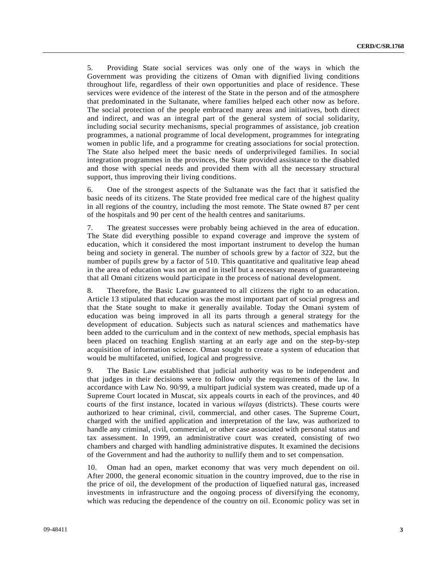5. Providing State social services was only one of the ways in which the Government was providing the citizens of Oman with dignified living conditions throughout life, regardless of their own opportunities and place of residence. These services were evidence of the interest of the State in the person and of the atmosphere that predominated in the Sultanate, where families helped each other now as before. The social protection of the people embraced many areas and initiatives, both direct and indirect, and was an integral part of the general system of social solidarity, including social security mechanisms, special programmes of assistance, job creation programmes, a national programme of local development, programmes for integrating women in public life, and a programme for creating associations for social protection. The State also helped meet the basic needs of underprivileged families. In social integration programmes in the provinces, the State provided assistance to the disabled and those with special needs and provided them with all the necessary structural support, thus improving their living conditions.

6. One of the strongest aspects of the Sultanate was the fact that it satisfied the basic needs of its citizens. The State provided free medical care of the highest quality in all regions of the country, including the most remote. The State owned 87 per cent of the hospitals and 90 per cent of the health centres and sanitariums.

7. The greatest successes were probably being achieved in the area of education. The State did everything possible to expand coverage and improve the system of education, which it considered the most important instrument to develop the human being and society in general. The number of schools grew by a factor of 322, but the number of pupils grew by a factor of 510. This quantitative and qualitative leap ahead in the area of education was not an end in itself but a necessary means of guaranteeing that all Omani citizens would participate in the process of national development.

8. Therefore, the Basic Law guaranteed to all citizens the right to an education. Article 13 stipulated that education was the most important part of social progress and that the State sought to make it generally available. Today the Omani system of education was being improved in all its parts through a general strategy for the development of education. Subjects such as natural sciences and mathematics have been added to the curriculum and in the context of new methods, special emphasis has been placed on teaching English starting at an early age and on the step-by-step acquisition of information science. Oman sought to create a system of education that would be multifaceted, unified, logical and progressive.

9. The Basic Law established that judicial authority was to be independent and that judges in their decisions were to follow only the requirements of the law. In accordance with Law No. 90/99, a multipart judicial system was created, made up of a Supreme Court located in Muscat, six appeals courts in each of the provinces, and 40 courts of the first instance, located in various *wilayas* (districts). These courts were authorized to hear criminal, civil, commercial, and other cases. The Supreme Court, charged with the unified application and interpretation of the law, was authorized to handle any criminal, civil, commercial, or other case associated with personal status and tax assessment. In 1999, an administrative court was created, consisting of two chambers and charged with handling administrative disputes. It examined the decisions of the Government and had the authority to nullify them and to set compensation.

10. Oman had an open, market economy that was very much dependent on oil. After 2000, the general economic situation in the country improved, due to the rise in the price of oil, the development of the production of liquefied natural gas, increased investments in infrastructure and the ongoing process of diversifying the economy, which was reducing the dependence of the country on oil. Economic policy was set in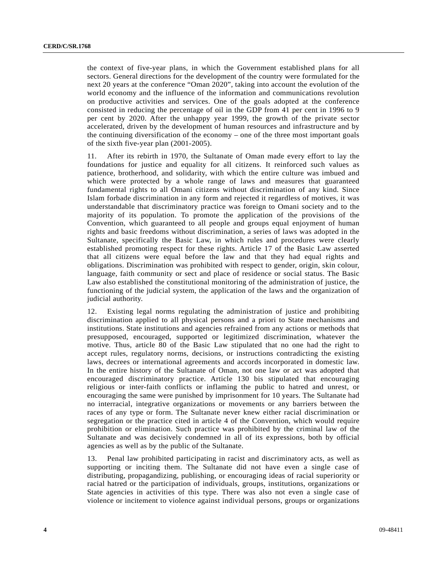the context of five-year plans, in which the Government established plans for all sectors. General directions for the development of the country were formulated for the next 20 years at the conference "Oman 2020", taking into account the evolution of the world economy and the influence of the information and communications revolution on productive activities and services. One of the goals adopted at the conference consisted in reducing the percentage of oil in the GDP from 41 per cent in 1996 to 9 per cent by 2020. After the unhappy year 1999, the growth of the private sector accelerated, driven by the development of human resources and infrastructure and by the continuing diversification of the economy – one of the three most important goals of the sixth five-year plan (2001-2005).

11. After its rebirth in 1970, the Sultanate of Oman made every effort to lay the foundations for justice and equality for all citizens. It reinforced such values as patience, brotherhood, and solidarity, with which the entire culture was imbued and which were protected by a whole range of laws and measures that guaranteed fundamental rights to all Omani citizens without discrimination of any kind. Since Islam forbade discrimination in any form and rejected it regardless of motives, it was understandable that discriminatory practice was foreign to Omani society and to the majority of its population. To promote the application of the provisions of the Convention, which guaranteed to all people and groups equal enjoyment of human rights and basic freedoms without discrimination, a series of laws was adopted in the Sultanate, specifically the Basic Law, in which rules and procedures were clearly established promoting respect for these rights. Article 17 of the Basic Law asserted that all citizens were equal before the law and that they had equal rights and obligations. Discrimination was prohibited with respect to gender, origin, skin colour, language, faith community or sect and place of residence or social status. The Basic Law also established the constitutional monitoring of the administration of justice, the functioning of the judicial system, the application of the laws and the organization of judicial authority.

12. Existing legal norms regulating the administration of justice and prohibiting discrimination applied to all physical persons and a priori to State mechanisms and institutions. State institutions and agencies refrained from any actions or methods that presupposed, encouraged, supported or legitimized discrimination, whatever the motive. Thus, article 80 of the Basic Law stipulated that no one had the right to accept rules, regulatory norms, decisions, or instructions contradicting the existing laws, decrees or international agreements and accords incorporated in domestic law. In the entire history of the Sultanate of Oman, not one law or act was adopted that encouraged discriminatory practice. Article 130 bis stipulated that encouraging religious or inter-faith conflicts or inflaming the public to hatred and unrest, or encouraging the same were punished by imprisonment for 10 years. The Sultanate had no interracial, integrative organizations or movements or any barriers between the races of any type or form. The Sultanate never knew either racial discrimination or segregation or the practice cited in article 4 of the Convention, which would require prohibition or elimination. Such practice was prohibited by the criminal law of the Sultanate and was decisively condemned in all of its expressions, both by official agencies as well as by the public of the Sultanate.

13. Penal law prohibited participating in racist and discriminatory acts, as well as supporting or inciting them. The Sultanate did not have even a single case of distributing, propagandizing, publishing, or encouraging ideas of racial superiority or racial hatred or the participation of individuals, groups, institutions, organizations or State agencies in activities of this type. There was also not even a single case of violence or incitement to violence against individual persons, groups or organizations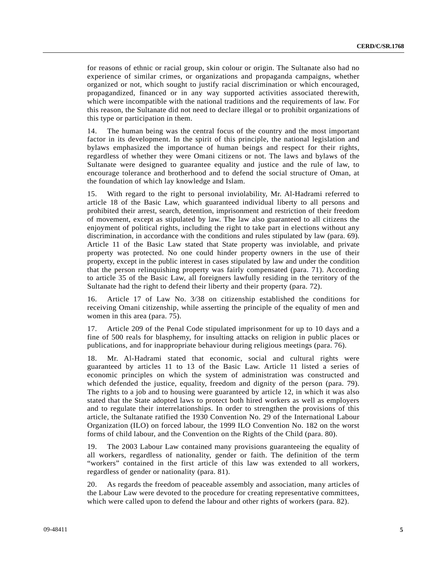for reasons of ethnic or racial group, skin colour or origin. The Sultanate also had no experience of similar crimes, or organizations and propaganda campaigns, whether organized or not, which sought to justify racial discrimination or which encouraged, propagandized, financed or in any way supported activities associated therewith, which were incompatible with the national traditions and the requirements of law. For this reason, the Sultanate did not need to declare illegal or to prohibit organizations of this type or participation in them.

14. The human being was the central focus of the country and the most important factor in its development. In the spirit of this principle, the national legislation and bylaws emphasized the importance of human beings and respect for their rights, regardless of whether they were Omani citizens or not. The laws and bylaws of the Sultanate were designed to guarantee equality and justice and the rule of law, to encourage tolerance and brotherhood and to defend the social structure of Oman, at the foundation of which lay knowledge and Islam.

15. With regard to the right to personal inviolability, Mr. Al-Hadrami referred to article 18 of the Basic Law, which guaranteed individual liberty to all persons and prohibited their arrest, search, detention, imprisonment and restriction of their freedom of movement, except as stipulated by law. The law also guaranteed to all citizens the enjoyment of political rights, including the right to take part in elections without any discrimination, in accordance with the conditions and rules stipulated by law (para. 69). Article 11 of the Basic Law stated that State property was inviolable, and private property was protected. No one could hinder property owners in the use of their property, except in the public interest in cases stipulated by law and under the condition that the person relinquishing property was fairly compensated (para. 71). According to article 35 of the Basic Law, all foreigners lawfully residing in the territory of the Sultanate had the right to defend their liberty and their property (para. 72).

16. Article 17 of Law No. 3/38 on citizenship established the conditions for receiving Omani citizenship, while asserting the principle of the equality of men and women in this area (para. 75).

17. Article 209 of the Penal Code stipulated imprisonment for up to 10 days and a fine of 500 reals for blasphemy, for insulting attacks on religion in public places or publications, and for inappropriate behaviour during religious meetings (para. 76).

18. Mr. Al-Hadrami stated that economic, social and cultural rights were guaranteed by articles 11 to 13 of the Basic Law. Article 11 listed a series of economic principles on which the system of administration was constructed and which defended the justice, equality, freedom and dignity of the person (para. 79). The rights to a job and to housing were guaranteed by article 12, in which it was also stated that the State adopted laws to protect both hired workers as well as employers and to regulate their interrelationships. In order to strengthen the provisions of this article, the Sultanate ratified the 1930 Convention No. 29 of the International Labour Organization (ILO) on forced labour, the 1999 ILO Convention No. 182 on the worst forms of child labour, and the Convention on the Rights of the Child (para. 80).

19. The 2003 Labour Law contained many provisions guaranteeing the equality of all workers, regardless of nationality, gender or faith. The definition of the term "workers" contained in the first article of this law was extended to all workers, regardless of gender or nationality (para. 81).

20. As regards the freedom of peaceable assembly and association, many articles of the Labour Law were devoted to the procedure for creating representative committees, which were called upon to defend the labour and other rights of workers (para. 82).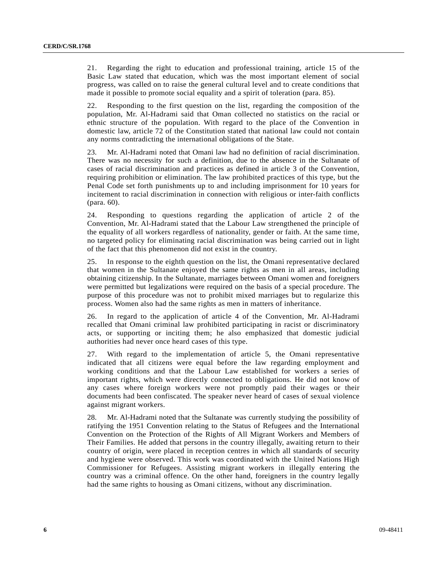21. Regarding the right to education and professional training, article 15 of the Basic Law stated that education, which was the most important element of social progress, was called on to raise the general cultural level and to create conditions that made it possible to promote social equality and a spirit of toleration (para. 85).

Responding to the first question on the list, regarding the composition of the population, Mr. Al-Hadrami said that Oman collected no statistics on the racial or ethnic structure of the population. With regard to the place of the Convention in domestic law, article 72 of the Constitution stated that national law could not contain any norms contradicting the international obligations of the State.

23. Mr. Al-Hadrami noted that Omani law had no definition of racial discrimination. There was no necessity for such a definition, due to the absence in the Sultanate of cases of racial discrimination and practices as defined in article 3 of the Convention, requiring prohibition or elimination. The law prohibited practices of this type, but the Penal Code set forth punishments up to and including imprisonment for 10 years for incitement to racial discrimination in connection with religious or inter-faith conflicts (para. 60).

24. Responding to questions regarding the application of article 2 of the Convention, Mr. Al-Hadrami stated that the Labour Law strengthened the principle of the equality of all workers regardless of nationality, gender or faith. At the same time, no targeted policy for eliminating racial discrimination was being carried out in light of the fact that this phenomenon did not exist in the country.

25. In response to the eighth question on the list, the Omani representative declared that women in the Sultanate enjoyed the same rights as men in all areas, including obtaining citizenship. In the Sultanate, marriages between Omani women and foreigners were permitted but legalizations were required on the basis of a special procedure. The purpose of this procedure was not to prohibit mixed marriages but to regularize this process. Women also had the same rights as men in matters of inheritance.

26. In regard to the application of article 4 of the Convention, Mr. Al-Hadrami recalled that Omani criminal law prohibited participating in racist or discriminatory acts, or supporting or inciting them; he also emphasized that domestic judicial authorities had never once heard cases of this type.

27. With regard to the implementation of article 5, the Omani representative indicated that all citizens were equal before the law regarding employment and working conditions and that the Labour Law established for workers a series of important rights, which were directly connected to obligations. He did not know of any cases where foreign workers were not promptly paid their wages or their documents had been confiscated. The speaker never heard of cases of sexual violence against migrant workers.

28. Mr. Al-Hadrami noted that the Sultanate was currently studying the possibility of ratifying the 1951 Convention relating to the Status of Refugees and the International Convention on the Protection of the Rights of All Migrant Workers and Members of Their Families. He added that persons in the country illegally, awaiting return to their country of origin, were placed in reception centres in which all standards of security and hygiene were observed. This work was coordinated with the United Nations High Commissioner for Refugees. Assisting migrant workers in illegally entering the country was a criminal offence. On the other hand, foreigners in the country legally had the same rights to housing as Omani citizens, without any discrimination.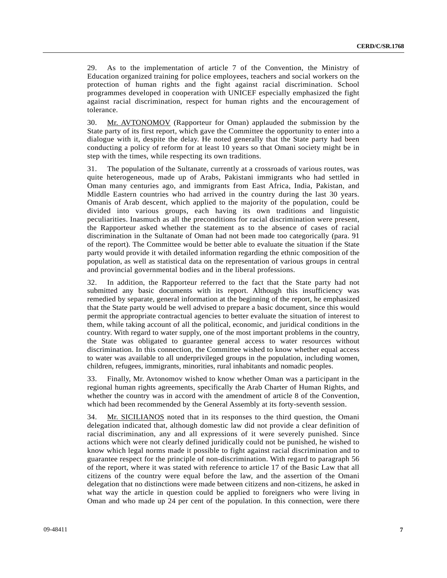29. As to the implementation of article 7 of the Convention, the Ministry of Education organized training for police employees, teachers and social workers on the protection of human rights and the fight against racial discrimination. School programmes developed in cooperation with UNICEF especially emphasized the fight against racial discrimination, respect for human rights and the encouragement of tolerance.

30. Mr. AVTONOMOV (Rapporteur for Oman) applauded the submission by the State party of its first report, which gave the Committee the opportunity to enter into a dialogue with it, despite the delay. He noted generally that the State party had been conducting a policy of reform for at least 10 years so that Omani society might be in step with the times, while respecting its own traditions.

31. The population of the Sultanate, currently at a crossroads of various routes, was quite heterogeneous, made up of Arabs, Pakistani immigrants who had settled in Oman many centuries ago, and immigrants from East Africa, India, Pakistan, and Middle Eastern countries who had arrived in the country during the last 30 years. Omanis of Arab descent, which applied to the majority of the population, could be divided into various groups, each having its own traditions and linguistic peculiarities. Inasmuch as all the preconditions for racial discrimination were present, the Rapporteur asked whether the statement as to the absence of cases of racial discrimination in the Sultanate of Oman had not been made too categorically (para. 91 of the report). The Committee would be better able to evaluate the situation if the State party would provide it with detailed information regarding the ethnic composition of the population, as well as statistical data on the representation of various groups in central and provincial governmental bodies and in the liberal professions.

32. In addition, the Rapporteur referred to the fact that the State party had not submitted any basic documents with its report. Although this insufficiency was remedied by separate, general information at the beginning of the report, he emphasized that the State party would be well advised to prepare a basic document, since this would permit the appropriate contractual agencies to better evaluate the situation of interest to them, while taking account of all the political, economic, and juridical conditions in the country. With regard to water supply, one of the most important problems in the country, the State was obligated to guarantee general access to water resources without discrimination. In this connection, the Committee wished to know whether equal access to water was available to all underprivileged groups in the population, including women, children, refugees, immigrants, minorities, rural inhabitants and nomadic peoples.

33. Finally, Mr. Avtonomov wished to know whether Oman was a participant in the regional human rights agreements, specifically the Arab Charter of Human Rights, and whether the country was in accord with the amendment of article 8 of the Convention, which had been recommended by the General Assembly at its forty-seventh session.

34. Mr. SICILIANOS noted that in its responses to the third question, the Omani delegation indicated that, although domestic law did not provide a clear definition of racial discrimination, any and all expressions of it were severely punished. Since actions which were not clearly defined juridically could not be punished, he wished to know which legal norms made it possible to fight against racial discrimination and to guarantee respect for the principle of non-discrimination. With regard to paragraph 56 of the report, where it was stated with reference to article 17 of the Basic Law that all citizens of the country were equal before the law, and the assertion of the Omani delegation that no distinctions were made between citizens and non-citizens, he asked in what way the article in question could be applied to foreigners who were living in Oman and who made up 24 per cent of the population. In this connection, were there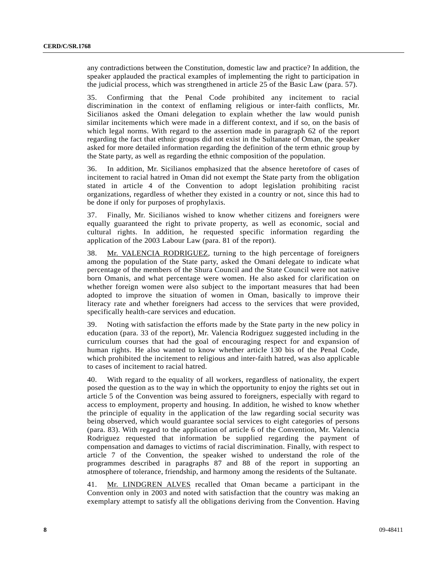any contradictions between the Constitution, domestic law and practice? In addition, the speaker applauded the practical examples of implementing the right to participation in the judicial process, which was strengthened in article 25 of the Basic Law (para. 57).

35. Confirming that the Penal Code prohibited any incitement to racial discrimination in the context of enflaming religious or inter-faith conflicts, Mr. Sicilianos asked the Omani delegation to explain whether the law would punish similar incitements which were made in a different context, and if so, on the basis of which legal norms. With regard to the assertion made in paragraph 62 of the report regarding the fact that ethnic groups did not exist in the Sultanate of Oman, the speaker asked for more detailed information regarding the definition of the term ethnic group by the State party, as well as regarding the ethnic composition of the population.

36. In addition, Mr. Sicilianos emphasized that the absence heretofore of cases of incitement to racial hatred in Oman did not exempt the State party from the obligation stated in article 4 of the Convention to adopt legislation prohibiting racist organizations, regardless of whether they existed in a country or not, since this had to be done if only for purposes of prophylaxis.

37. Finally, Mr. Sicilianos wished to know whether citizens and foreigners were equally guaranteed the right to private property, as well as economic, social and cultural rights. In addition, he requested specific information regarding the application of the 2003 Labour Law (para. 81 of the report).

38. Mr. VALENCIA RODRIGUEZ, turning to the high percentage of foreigners among the population of the State party, asked the Omani delegate to indicate what percentage of the members of the Shura Council and the State Council were not native born Omanis, and what percentage were women. He also asked for clarification on whether foreign women were also subject to the important measures that had been adopted to improve the situation of women in Oman, basically to improve their literacy rate and whether foreigners had access to the services that were provided, specifically health-care services and education.

39. Noting with satisfaction the efforts made by the State party in the new policy in education (para. 33 of the report), Mr. Valencia Rodriguez suggested including in the curriculum courses that had the goal of encouraging respect for and expansion of human rights. He also wanted to know whether article 130 bis of the Penal Code, which prohibited the incitement to religious and inter-faith hatred, was also applicable to cases of incitement to racial hatred.

40. With regard to the equality of all workers, regardless of nationality, the expert posed the question as to the way in which the opportunity to enjoy the rights set out in article 5 of the Convention was being assured to foreigners, especially with regard to access to employment, property and housing. In addition, he wished to know whether the principle of equality in the application of the law regarding social security was being observed, which would guarantee social services to eight categories of persons (para. 83). With regard to the application of article 6 of the Convention, Mr. Valencia Rodriguez requested that information be supplied regarding the payment of compensation and damages to victims of racial discrimination. Finally, with respect to article 7 of the Convention, the speaker wished to understand the role of the programmes described in paragraphs 87 and 88 of the report in supporting an atmosphere of tolerance, friendship, and harmony among the residents of the Sultanate.

41. Mr. LINDGREN ALVES recalled that Oman became a participant in the Convention only in 2003 and noted with satisfaction that the country was making an exemplary attempt to satisfy all the obligations deriving from the Convention. Having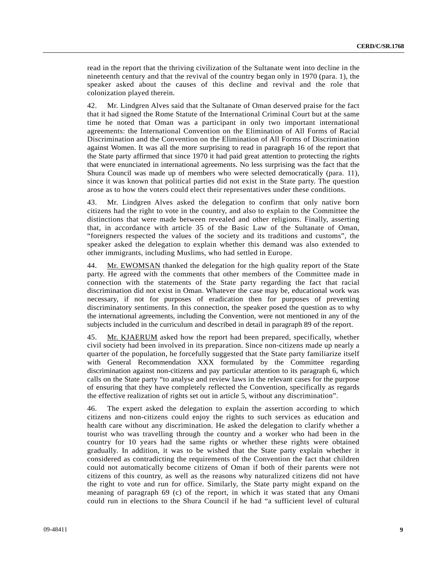read in the report that the thriving civilization of the Sultanate went into decline in the nineteenth century and that the revival of the country began only in 1970 (para. 1), the speaker asked about the causes of this decline and revival and the role that colonization played therein.

42. Mr. Lindgren Alves said that the Sultanate of Oman deserved praise for the fact that it had signed the Rome Statute of the International Criminal Court but at the same time he noted that Oman was a participant in only two important international agreements: the International Convention on the Elimination of All Forms of Racial Discrimination and the Convention on the Elimination of All Forms of Discrimination against Women. It was all the more surprising to read in paragraph 16 of the report that the State party affirmed that since 1970 it had paid great attention to protecting the rights that were enunciated in international agreements. No less surprising was the fact that the Shura Council was made up of members who were selected democratically (para. 11), since it was known that political parties did not exist in the State party. The question arose as to how the voters could elect their representatives under these conditions.

43. Mr. Lindgren Alves asked the delegation to confirm that only native born citizens had the right to vote in the country, and also to explain to the Committee the distinctions that were made between revealed and other religions. Finally, asserting that, in accordance with article 35 of the Basic Law of the Sultanate of Oman, "foreigners respected the values of the society and its traditions and customs", the speaker asked the delegation to explain whether this demand was also extended to other immigrants, including Muslims, who had settled in Europe.

44. Mr. EWOMSAN thanked the delegation for the high quality report of the State party. He agreed with the comments that other members of the Committee made in connection with the statements of the State party regarding the fact that racial discrimination did not exist in Oman. Whatever the case may be, educational work was necessary, if not for purposes of eradication then for purposes of preventing discriminatory sentiments. In this connection, the speaker posed the question as to why the international agreements, including the Convention, were not mentioned in any of the subjects included in the curriculum and described in detail in paragraph 89 of the report.

45. Mr. KJAERUM asked how the report had been prepared, specifically, whether civil society had been involved in its preparation. Since non-citizens made up nearly a quarter of the population, he forcefully suggested that the State party familiarize itself with General Recommendation XXX formulated by the Committee regarding discrimination against non-citizens and pay particular attention to its paragraph 6, which calls on the State party "to analyse and review laws in the relevant cases for the purpose of ensuring that they have completely reflected the Convention, specifically as regards the effective realization of rights set out in article 5, without any discrimination".

46. The expert asked the delegation to explain the assertion according to which citizens and non-citizens could enjoy the rights to such services as education and health care without any discrimination. He asked the delegation to clarify whether a tourist who was travelling through the country and a worker who had been in the country for 10 years had the same rights or whether these rights were obtained gradually. In addition, it was to be wished that the State party explain whether it considered as contradicting the requirements of the Convention the fact that children could not automatically become citizens of Oman if both of their parents were not citizens of this country, as well as the reasons why naturalized citizens did not have the right to vote and run for office. Similarly, the State party might expand on the meaning of paragraph 69 (c) of the report, in which it was stated that any Omani could run in elections to the Shura Council if he had "a sufficient level of cultural